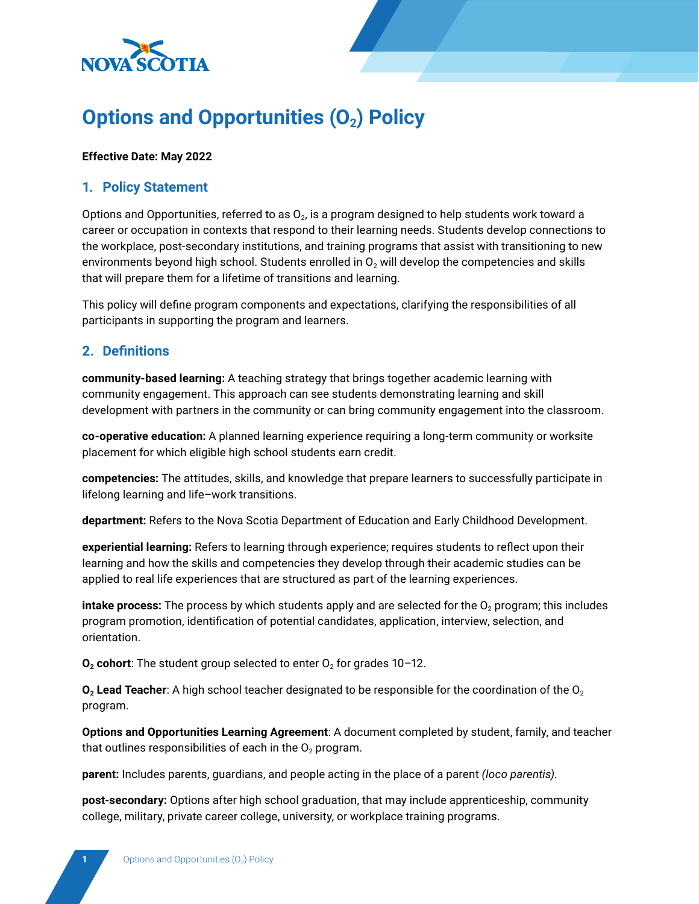

# **Options and Opportunities (O<sub>2</sub>) Policy**

#### **Effective Date: May 2022**

## **1. Policy Statement**

Options and Opportunities, referred to as  $O<sub>2</sub>$ , is a program designed to help students work toward a career or occupation in contexts that respond to their learning needs. Students develop connections to the workplace, post-secondary institutions, and training programs that assist with transitioning to new environments beyond high school. Students enrolled in  $O<sub>2</sub>$  will develop the competencies and skills that will prepare them for a lifetime of transitions and learning.

This policy will define program components and expectations, clarifying the responsibilities of all participants in supporting the program and learners.

## **2. Definitions**

**community-based learning:** A teaching strategy that brings together academic learning with community engagement. This approach can see students demonstrating learning and skill development with partners in the community or can bring community engagement into the classroom.

**co-operative education:** A planned learning experience requiring a long-term community or worksite placement for which eligible high school students earn credit.

**competencies:** The attitudes, skills, and knowledge that prepare learners to successfully participate in lifelong learning and life–work transitions.

**department:** Refers to the Nova Scotia Department of Education and Early Childhood Development.

**experiential learning:** Refers to learning through experience; requires students to reflect upon their learning and how the skills and competencies they develop through their academic studies can be applied to real life experiences that are structured as part of the learning experiences.

**intake process:** The process by which students apply and are selected for the  $O<sub>2</sub>$  program; this includes program promotion, identification of potential candidates, application, interview, selection, and orientation.

 $O<sub>2</sub>$  cohort: The student group selected to enter  $O<sub>2</sub>$  for grades 10-12.

 $O_2$  Lead Teacher: A high school teacher designated to be responsible for the coordination of the  $O_2$ program.

**Options and Opportunities Learning Agreement**: A document completed by student, family, and teacher that outlines responsibilities of each in the  $O<sub>2</sub>$  program.

**parent:** Includes parents, guardians, and people acting in the place of a parent *(loco parentis)*.

**post-secondary:** Options after high school graduation, that may include apprenticeship, community college, military, private career college, university, or workplace training programs.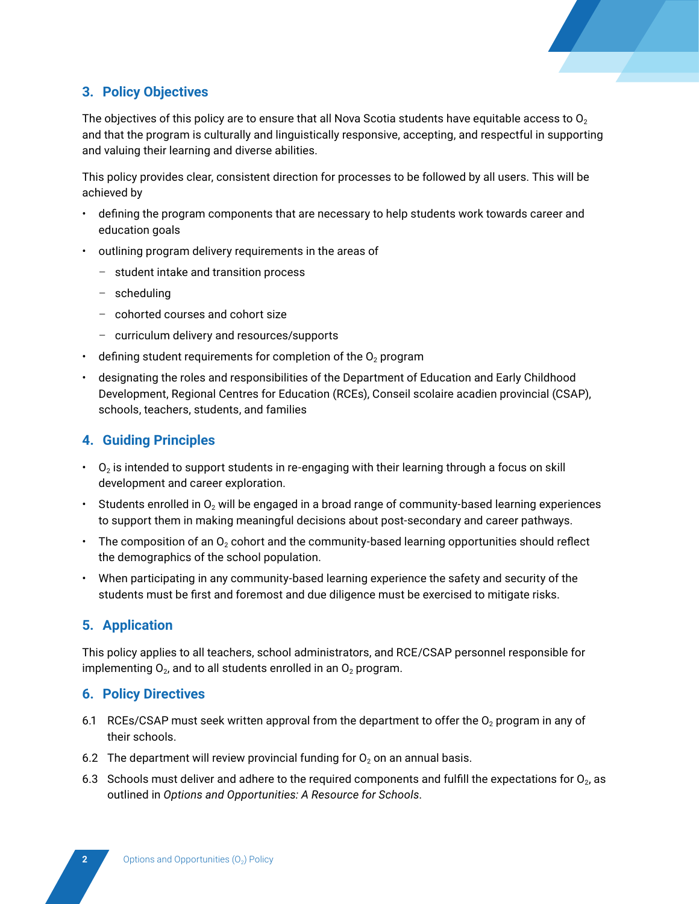

# **3. Policy Objectives**

The objectives of this policy are to ensure that all Nova Scotia students have equitable access to  $O<sub>2</sub>$ and that the program is culturally and linguistically responsive, accepting, and respectful in supporting and valuing their learning and diverse abilities.

This policy provides clear, consistent direction for processes to be followed by all users. This will be achieved by

- defining the program components that are necessary to help students work towards career and education goals
- outlining program delivery requirements in the areas of
	- student intake and transition process
	- scheduling
	- cohorted courses and cohort size
	- curriculum delivery and resources/supports
- defining student requirements for completion of the  $O<sub>2</sub>$  program
- designating the roles and responsibilities of the Department of Education and Early Childhood Development, Regional Centres for Education (RCEs), Conseil scolaire acadien provincial (CSAP), schools, teachers, students, and families

# **4. Guiding Principles**

- $\cdot$  O<sub>2</sub> is intended to support students in re-engaging with their learning through a focus on skill development and career exploration.
- Students enrolled in  $O<sub>2</sub>$  will be engaged in a broad range of community-based learning experiences to support them in making meaningful decisions about post-secondary and career pathways.
- The composition of an  $O<sub>2</sub>$  cohort and the community-based learning opportunities should reflect the demographics of the school population.
- When participating in any community-based learning experience the safety and security of the students must be first and foremost and due diligence must be exercised to mitigate risks.

## **5. Application**

This policy applies to all teachers, school administrators, and RCE/CSAP personnel responsible for implementing  $O_2$ , and to all students enrolled in an  $O_2$  program.

## **6. Policy Directives**

- 6.1 RCEs/CSAP must seek written approval from the department to offer the  $O<sub>2</sub>$  program in any of their schools.
- 6.2 The department will review provincial funding for  $O_2$  on an annual basis.
- 6.3 Schools must deliver and adhere to the required components and fulfill the expectations for  $O<sub>2</sub>$ , as outlined in *Options and Opportunities: A Resource for Schools*.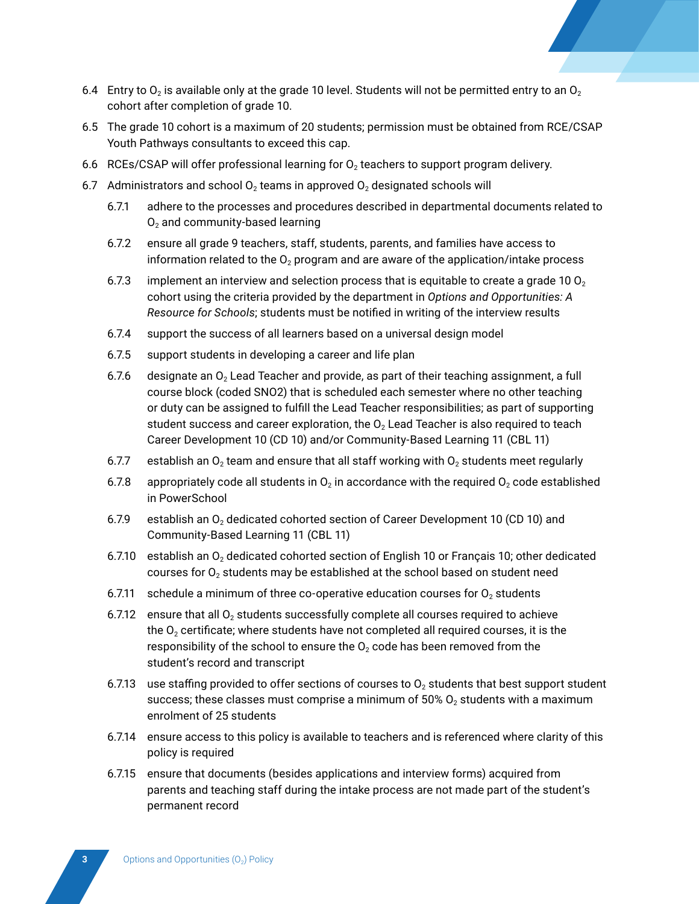

- 6.5 The grade 10 cohort is a maximum of 20 students; permission must be obtained from RCE/CSAP Youth Pathways consultants to exceed this cap.
- 6.6 RCEs/CSAP will offer professional learning for  $O<sub>2</sub>$  teachers to support program delivery.
- 6.7 Administrators and school  $O_2$  teams in approved  $O_2$  designated schools will
	- 6.7.1 adhere to the processes and procedures described in departmental documents related to  $O<sub>2</sub>$  and community-based learning
	- 6.7.2 ensure all grade 9 teachers, staff, students, parents, and families have access to information related to the  $O_2$  program and are aware of the application/intake process
	- 6.7.3 implement an interview and selection process that is equitable to create a grade 10  $O<sub>2</sub>$ cohort using the criteria provided by the department in *Options and Opportunities: A Resource for Schools*; students must be notified in writing of the interview results
	- 6.7.4 support the success of all learners based on a universal design model
	- 6.7.5 support students in developing a career and life plan
	- 6.7.6 designate an  $O<sub>2</sub>$  Lead Teacher and provide, as part of their teaching assignment, a full course block (coded SNO2) that is scheduled each semester where no other teaching or duty can be assigned to fulfill the Lead Teacher responsibilities; as part of supporting student success and career exploration, the  $O<sub>2</sub>$  Lead Teacher is also required to teach Career Development 10 (CD 10) and/or Community-Based Learning 11 (CBL 11)
	- 6.7.7 establish an  $O<sub>2</sub>$  team and ensure that all staff working with  $O<sub>2</sub>$  students meet regularly
	- 6.7.8 appropriately code all students in  $O_2$  in accordance with the required  $O_2$  code established in PowerSchool
	- 6.7.9 establish an  $O<sub>2</sub>$  dedicated cohorted section of Career Development 10 (CD 10) and Community-Based Learning 11 (CBL 11)
	- 6.7.10 establish an  $O<sub>2</sub>$  dedicated cohorted section of English 10 or Français 10; other dedicated courses for  $O<sub>2</sub>$  students may be established at the school based on student need
	- 6.7.11 schedule a minimum of three co-operative education courses for  $O<sub>2</sub>$  students
	- 6.7.12 ensure that all  $O<sub>2</sub>$  students successfully complete all courses required to achieve the  $O<sub>2</sub>$  certificate; where students have not completed all required courses, it is the responsibility of the school to ensure the  $O<sub>2</sub>$  code has been removed from the student's record and transcript
	- 6.7.13 use staffing provided to offer sections of courses to  $O<sub>2</sub>$  students that best support student success; these classes must comprise a minimum of  $50\%$  O<sub>2</sub> students with a maximum enrolment of 25 students
	- 6.7.14 ensure access to this policy is available to teachers and is referenced where clarity of this policy is required
	- 6.7.15 ensure that documents (besides applications and interview forms) acquired from parents and teaching staff during the intake process are not made part of the student's permanent record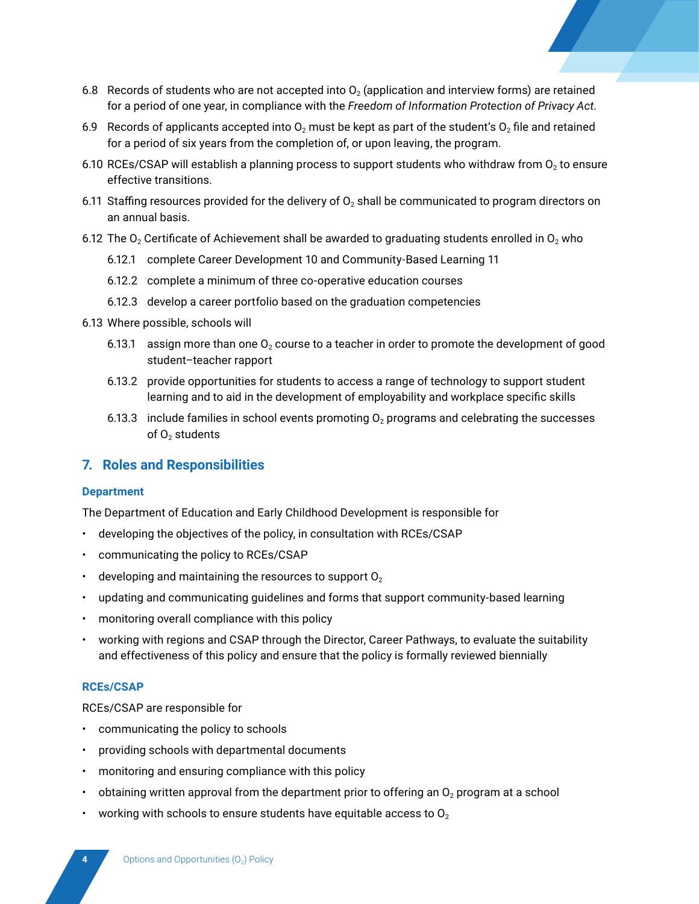

- 6.8 Records of students who are not accepted into  $O<sub>2</sub>$  (application and interview forms) are retained for a period of one year, in compliance with the *Freedom of Information Protection of Privacy Act*.
- 6.9 Records of applicants accepted into  $O_2$  must be kept as part of the student's  $O_2$  file and retained for a period of six years from the completion of, or upon leaving, the program.
- 6.10 RCEs/CSAP will establish a planning process to support students who withdraw from  $O<sub>2</sub>$  to ensure effective transitions.
- 6.11 Staffing resources provided for the delivery of  $O<sub>2</sub>$  shall be communicated to program directors on an annual basis.
- 6.12 The  $O<sub>2</sub>$  Certificate of Achievement shall be awarded to graduating students enrolled in  $O<sub>2</sub>$  who
	- 6.12.1 complete Career Development 10 and Community-Based Learning 11
	- 6.12.2 complete a minimum of three co-operative education courses
	- 6.12.3 develop a career portfolio based on the graduation competencies
- 6.13 Where possible, schools will
	- 6.13.1 assign more than one  $O_2$  course to a teacher in order to promote the development of good student–teacher rapport
	- 6.13.2 provide opportunities for students to access a range of technology to support student learning and to aid in the development of employability and workplace specific skills
	- 6.13.3 include families in school events promoting  $O<sub>2</sub>$  programs and celebrating the successes of  $O<sub>2</sub>$  students

## **7. Roles and Responsibilities**

#### **Department**

The Department of Education and Early Childhood Development is responsible for

- developing the objectives of the policy, in consultation with RCEs/CSAP
- communicating the policy to RCEs/CSAP
- $\cdot$  developing and maintaining the resources to support  $O<sub>2</sub>$
- updating and communicating guidelines and forms that support community-based learning
- monitoring overall compliance with this policy
- working with regions and CSAP through the Director, Career Pathways, to evaluate the suitability and effectiveness of this policy and ensure that the policy is formally reviewed biennially

#### **RCEs/CSAP**

RCEs/CSAP are responsible for

- communicating the policy to schools
- providing schools with departmental documents
- monitoring and ensuring compliance with this policy
- obtaining written approval from the department prior to offering an  $O<sub>2</sub>$  program at a school
- working with schools to ensure students have equitable access to  $O<sub>2</sub>$